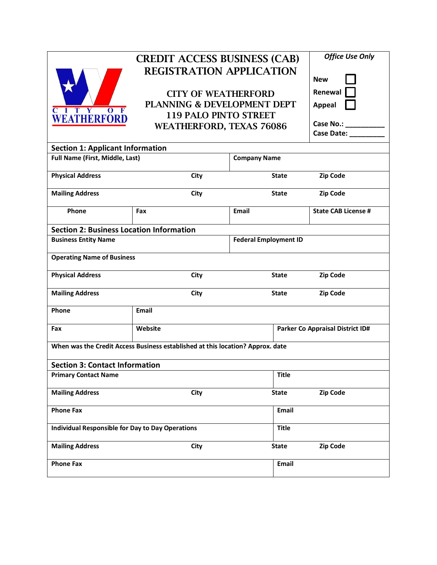

## CREDIT ACCESS BUSINESS (CAB) REGISTRATION APPLICATION

CITY OF WEATHERFORD PLANNING & DEVELOPMENT DEPT 119 PALO PINTO STREET WEATHERFORD, TEXAS 76086

| <b>Office Use Only</b> |  |  |  |  |  |
|------------------------|--|--|--|--|--|
| New                    |  |  |  |  |  |
| Renewal                |  |  |  |  |  |
| <b>Appeal</b>          |  |  |  |  |  |
| <b>Case No.:</b>       |  |  |  |  |  |

**Case Date: \_\_\_\_\_\_\_\_\_**

| <b>Section 1: Applicant Information</b>                                        |                              |                     |              |                                  |  |  |  |
|--------------------------------------------------------------------------------|------------------------------|---------------------|--------------|----------------------------------|--|--|--|
| Full Name (First, Middle, Last)                                                |                              | <b>Company Name</b> |              |                                  |  |  |  |
| <b>Physical Address</b>                                                        | City                         |                     | <b>State</b> | <b>Zip Code</b>                  |  |  |  |
| <b>Mailing Address</b>                                                         | <b>City</b>                  |                     | <b>State</b> | Zip Code                         |  |  |  |
| Phone                                                                          | Fax                          | Email               |              | <b>State CAB License #</b>       |  |  |  |
| <b>Section 2: Business Location Information</b>                                |                              |                     |              |                                  |  |  |  |
| <b>Business Entity Name</b>                                                    | <b>Federal Employment ID</b> |                     |              |                                  |  |  |  |
| <b>Operating Name of Business</b>                                              |                              |                     |              |                                  |  |  |  |
| <b>Physical Address</b>                                                        | City                         |                     | <b>State</b> | <b>Zip Code</b>                  |  |  |  |
| <b>Mailing Address</b>                                                         | City                         |                     | <b>State</b> | <b>Zip Code</b>                  |  |  |  |
| Phone                                                                          | Email                        |                     |              |                                  |  |  |  |
| Fax                                                                            | Website                      |                     |              | Parker Co Appraisal District ID# |  |  |  |
| When was the Credit Access Business established at this location? Approx. date |                              |                     |              |                                  |  |  |  |
| <b>Section 3: Contact Information</b>                                          |                              |                     |              |                                  |  |  |  |
| <b>Primary Contact Name</b>                                                    |                              |                     | <b>Title</b> |                                  |  |  |  |
| <b>Mailing Address</b>                                                         | City                         |                     | <b>State</b> | Zip Code                         |  |  |  |
| <b>Phone Fax</b>                                                               |                              |                     | Email        |                                  |  |  |  |
| <b>Individual Responsible for Day to Day Operations</b>                        |                              | <b>Title</b>        |              |                                  |  |  |  |
| <b>Mailing Address</b>                                                         | <b>City</b>                  |                     | <b>State</b> | <b>Zip Code</b>                  |  |  |  |
| <b>Phone Fax</b>                                                               |                              |                     | Email        |                                  |  |  |  |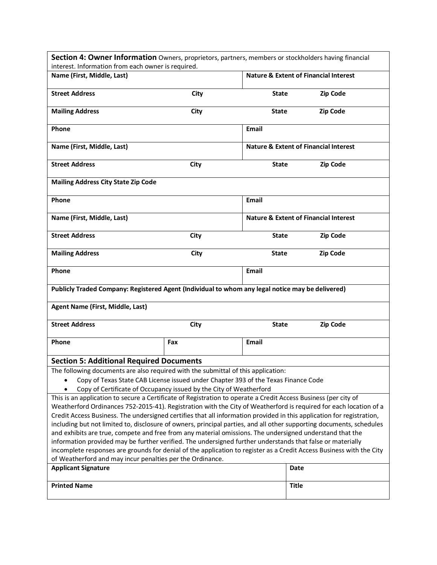| Section 4: Owner Information Owners, proprietors, partners, members or stockholders having financial<br>interest. Information from each owner is required.                            |      |                                                  |                                                  |  |  |  |
|---------------------------------------------------------------------------------------------------------------------------------------------------------------------------------------|------|--------------------------------------------------|--------------------------------------------------|--|--|--|
| Name (First, Middle, Last)                                                                                                                                                            |      | <b>Nature &amp; Extent of Financial Interest</b> |                                                  |  |  |  |
|                                                                                                                                                                                       |      |                                                  |                                                  |  |  |  |
| <b>Street Address</b>                                                                                                                                                                 | City | State                                            | Zip Code                                         |  |  |  |
| <b>Mailing Address</b>                                                                                                                                                                | City | State                                            | <b>Zip Code</b>                                  |  |  |  |
| Phone                                                                                                                                                                                 |      | <b>Email</b>                                     |                                                  |  |  |  |
| Name (First, Middle, Last)                                                                                                                                                            |      |                                                  | <b>Nature &amp; Extent of Financial Interest</b> |  |  |  |
| <b>Street Address</b>                                                                                                                                                                 | City | <b>State</b>                                     | Zip Code                                         |  |  |  |
| <b>Mailing Address City State Zip Code</b>                                                                                                                                            |      |                                                  |                                                  |  |  |  |
| Phone                                                                                                                                                                                 |      | Email                                            |                                                  |  |  |  |
| Name (First, Middle, Last)                                                                                                                                                            |      |                                                  | <b>Nature &amp; Extent of Financial Interest</b> |  |  |  |
| <b>Street Address</b>                                                                                                                                                                 | City | <b>State</b>                                     | Zip Code                                         |  |  |  |
| <b>Mailing Address</b>                                                                                                                                                                | City | <b>State</b>                                     | <b>Zip Code</b>                                  |  |  |  |
| Phone                                                                                                                                                                                 |      | <b>Email</b>                                     |                                                  |  |  |  |
| Publicly Traded Company: Registered Agent (Individual to whom any legal notice may be delivered)                                                                                      |      |                                                  |                                                  |  |  |  |
| Agent Name (First, Middle, Last)                                                                                                                                                      |      |                                                  |                                                  |  |  |  |
| <b>Street Address</b>                                                                                                                                                                 | City | <b>State</b>                                     | Zip Code                                         |  |  |  |
| Phone                                                                                                                                                                                 | Fax  | <b>Email</b>                                     |                                                  |  |  |  |
| <b>Section 5: Additional Required Documents</b>                                                                                                                                       |      |                                                  |                                                  |  |  |  |
| The following documents are also required with the submittal of this application:                                                                                                     |      |                                                  |                                                  |  |  |  |
| Copy of Texas State CAB License issued under Chapter 393 of the Texas Finance Code                                                                                                    |      |                                                  |                                                  |  |  |  |
| Copy of Certificate of Occupancy issued by the City of Weatherford<br>This is an application to secure a Certificate of Registration to operate a Credit Access Business (per city of |      |                                                  |                                                  |  |  |  |
| Weatherford Ordinances 752-2015-41). Registration with the City of Weatherford is required for each location of a                                                                     |      |                                                  |                                                  |  |  |  |
| Credit Access Business. The undersigned certifies that all information provided in this application for registration,                                                                 |      |                                                  |                                                  |  |  |  |
| including but not limited to, disclosure of owners, principal parties, and all other supporting documents, schedules                                                                  |      |                                                  |                                                  |  |  |  |
| and exhibits are true, compete and free from any material omissions. The undersigned understand that the                                                                              |      |                                                  |                                                  |  |  |  |
| information provided may be further verified. The undersigned further understands that false or materially                                                                            |      |                                                  |                                                  |  |  |  |
| incomplete responses are grounds for denial of the application to register as a Credit Access Business with the City                                                                  |      |                                                  |                                                  |  |  |  |
| of Weatherford and may incur penalties per the Ordinance.<br><b>Applicant Signature</b>                                                                                               |      |                                                  | Date                                             |  |  |  |
|                                                                                                                                                                                       |      |                                                  |                                                  |  |  |  |
| <b>Printed Name</b>                                                                                                                                                                   |      |                                                  | <b>Title</b>                                     |  |  |  |